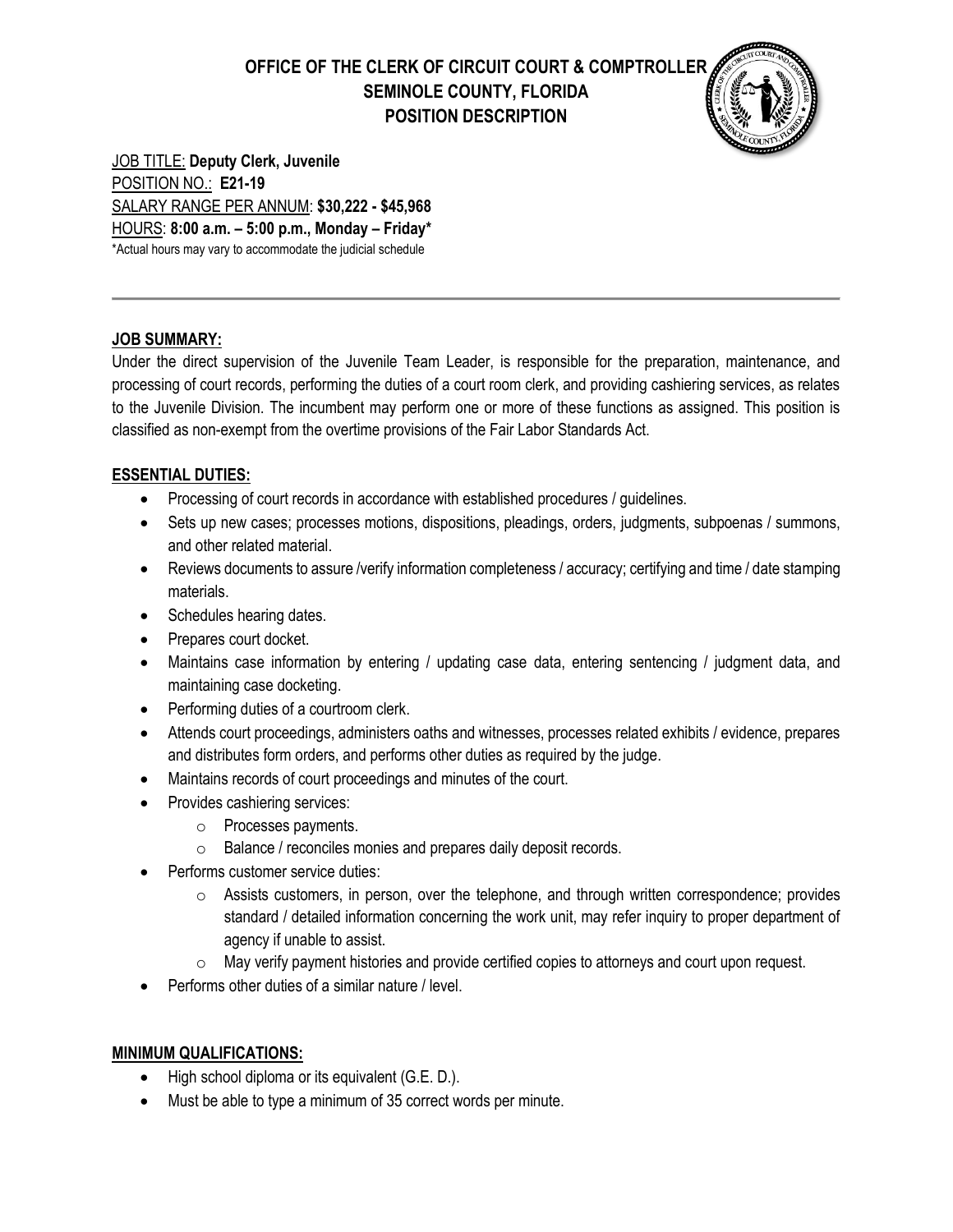**OFFICE OF THE CLERK OF CIRCUIT COURT & COMPTROLLER SEMINOLE COUNTY, FLORIDA POSITION DESCRIPTION**



JOB TITLE: **Deputy Clerk, Juvenile** POSITION NO.: **E21-19** SALARY RANGE PER ANNUM: **\$30,222 - \$45,968** HOURS: **8:00 a.m. – 5:00 p.m., Monday – Friday\*** \*Actual hours may vary to accommodate the judicial schedule

# **JOB SUMMARY:**

Under the direct supervision of the Juvenile Team Leader, is responsible for the preparation, maintenance, and processing of court records, performing the duties of a court room clerk, and providing cashiering services, as relates to the Juvenile Division. The incumbent may perform one or more of these functions as assigned. This position is classified as non-exempt from the overtime provisions of the Fair Labor Standards Act.

# **ESSENTIAL DUTIES:**

- Processing of court records in accordance with established procedures / guidelines.
- Sets up new cases; processes motions, dispositions, pleadings, orders, judgments, subpoenas / summons, and other related material.
- Reviews documents to assure /verify information completeness / accuracy; certifying and time / date stamping materials.
- Schedules hearing dates.
- Prepares court docket.
- Maintains case information by entering / updating case data, entering sentencing / judgment data, and maintaining case docketing.
- Performing duties of a courtroom clerk.
- Attends court proceedings, administers oaths and witnesses, processes related exhibits / evidence, prepares and distributes form orders, and performs other duties as required by the judge.
- Maintains records of court proceedings and minutes of the court.
- Provides cashiering services:
	- o Processes payments.
	- o Balance / reconciles monies and prepares daily deposit records.
- Performs customer service duties:
	- $\circ$  Assists customers, in person, over the telephone, and through written correspondence; provides standard / detailed information concerning the work unit, may refer inquiry to proper department of agency if unable to assist.
	- $\circ$  May verify payment histories and provide certified copies to attorneys and court upon request.
- Performs other duties of a similar nature / level.

## **MINIMUM QUALIFICATIONS:**

- High school diploma or its equivalent (G.E. D.).
- Must be able to type a minimum of 35 correct words per minute.